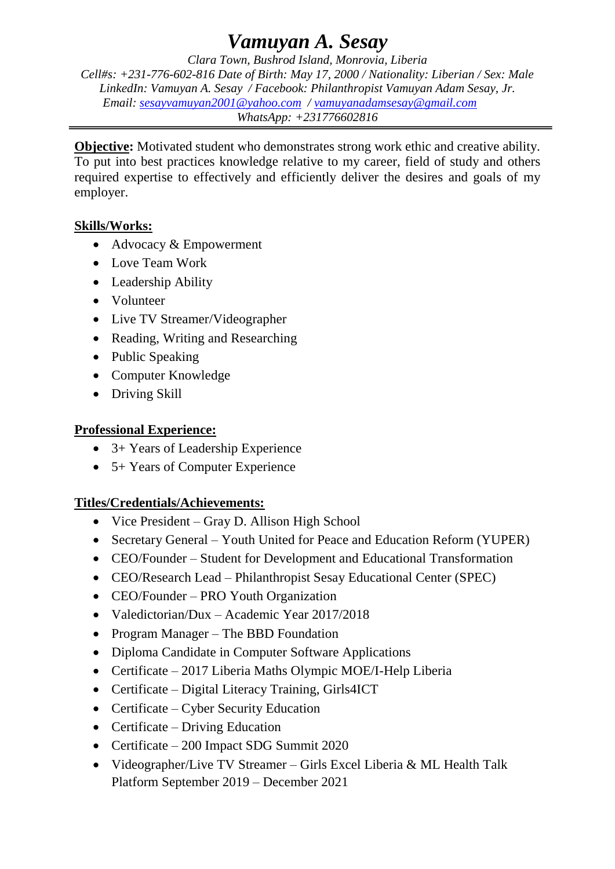# *Vamuyan A. Sesay*

*Clara Town, Bushrod Island, Monrovia, Liberia Cell#s: +231-776-602-816 Date of Birth: May 17, 2000 / Nationality: Liberian / Sex: Male LinkedIn: Vamuyan A. Sesay / Facebook: Philanthropist Vamuyan Adam Sesay, Jr. Email: [sesayvamuyan2001@yahoo.com](mailto:sesayvamuyan2001@yahoo.com) / [vamuyanadamsesay@gmail.com](mailto:vamuyanadamsesay@gmail.com) WhatsApp: +231776602816*

**Objective:** Motivated student who demonstrates strong work ethic and creative ability. To put into best practices knowledge relative to my career, field of study and others required expertise to effectively and efficiently deliver the desires and goals of my employer.

## **Skills/Works:**

- Advocacy & Empowerment
- Love Team Work
- Leadership Ability
- Volunteer
- Live TV Streamer/Videographer
- Reading, Writing and Researching
- Public Speaking
- Computer Knowledge
- Driving Skill

# **Professional Experience:**

- 3+ Years of Leadership Experience
- 5+ Years of Computer Experience

# **Titles/Credentials/Achievements:**

- Vice President Gray D. Allison High School
- Secretary General Youth United for Peace and Education Reform (YUPER)
- CEO/Founder Student for Development and Educational Transformation
- CEO/Research Lead Philanthropist Sesay Educational Center (SPEC)
- CEO/Founder PRO Youth Organization
- Valedictorian/Dux Academic Year 2017/2018
- Program Manager The BBD Foundation
- Diploma Candidate in Computer Software Applications
- Certificate 2017 Liberia Maths Olympic MOE/I-Help Liberia
- Certificate Digital Literacy Training, Girls4ICT
- Certificate Cyber Security Education
- Certificate Driving Education
- Certificate 200 Impact SDG Summit 2020
- Videographer/Live TV Streamer Girls Excel Liberia & ML Health Talk Platform September 2019 – December 2021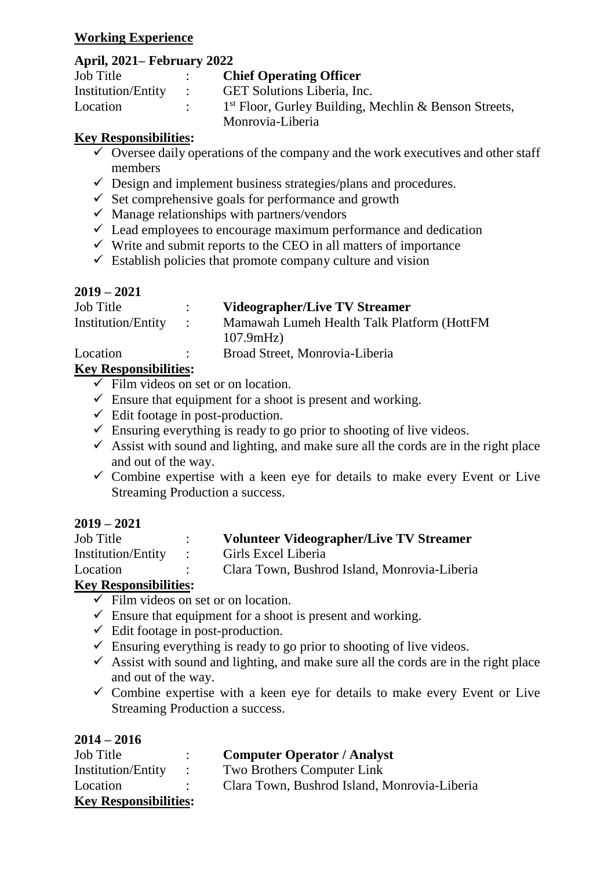#### **Working Experience**

## **April, 2021– February 2022**

| <b>Job Title</b>          |                | <b>Chief Operating Officer</b>                          |
|---------------------------|----------------|---------------------------------------------------------|
| <b>Institution/Entity</b> | $\mathbb{R}^n$ | <b>GET Solutions Liberia, Inc.</b>                      |
| Location                  |                | $1st$ Floor, Gurley Building, Mechlin & Benson Streets, |
|                           |                | Monrovia-Liberia                                        |

#### **Key Responsibilities:**

- $\checkmark$  Oversee daily operations of the company and the work executives and other staff members
- $\checkmark$  Design and implement business strategies/plans and procedures.
- $\checkmark$  Set comprehensive goals for performance and growth
- $\checkmark$  Manage relationships with partners/vendors
- $\checkmark$  Lead employees to encourage maximum performance and dedication
- $\checkmark$  Write and submit reports to the CEO in all matters of importance
- $\checkmark$  Establish policies that promote company culture and vision

# **2019 – 2021**

| Job Title          |                   | Videographer/Live TV Streamer               |
|--------------------|-------------------|---------------------------------------------|
| Institution/Entity | $\sim$ 100 $\sim$ | Mamawah Lumeh Health Talk Platform (HottFM) |
|                    |                   | 107.9mHz                                    |
| Location           |                   | Broad Street, Monrovia-Liberia              |

# **Key Responsibilities:**

- $\checkmark$  Film videos on set or on location.
- $\checkmark$  Ensure that equipment for a shoot is present and working.
- $\checkmark$  Edit footage in post-production.
- $\checkmark$  Ensuring everything is ready to go prior to shooting of live videos.
- $\checkmark$  Assist with sound and lighting, and make sure all the cords are in the right place and out of the way.
- $\checkmark$  Combine expertise with a keen eye for details to make every Event or Live Streaming Production a success.

# **2019 – 2021**

| Job Title            | <b>Volunteer Videographer/Live TV Streamer</b> |
|----------------------|------------------------------------------------|
| Institution/Entity : | Girls Excel Liberia                            |
| Location             | Clara Town, Bushrod Island, Monrovia-Liberia   |
|                      |                                                |

# **Key Responsibilities:**

- $\overline{\smile}$  Film videos on set or on location.
- $\checkmark$  Ensure that equipment for a shoot is present and working.
- $\checkmark$  Edit footage in post-production.
- $\checkmark$  Ensuring everything is ready to go prior to shooting of live videos.
- $\checkmark$  Assist with sound and lighting, and make sure all the cords are in the right place and out of the way.
- $\checkmark$  Combine expertise with a keen eye for details to make every Event or Live Streaming Production a success.

| Job Title                    |                                         | <b>Computer Operator / Analyst</b>           |
|------------------------------|-----------------------------------------|----------------------------------------------|
| <b>Institution/Entity</b>    | $\mathcal{L} = \mathcal{L} \mathcal{L}$ | <b>Two Brothers Computer Link</b>            |
| Location                     |                                         | Clara Town, Bushrod Island, Monrovia-Liberia |
| <b>Key Responsibilities:</b> |                                         |                                              |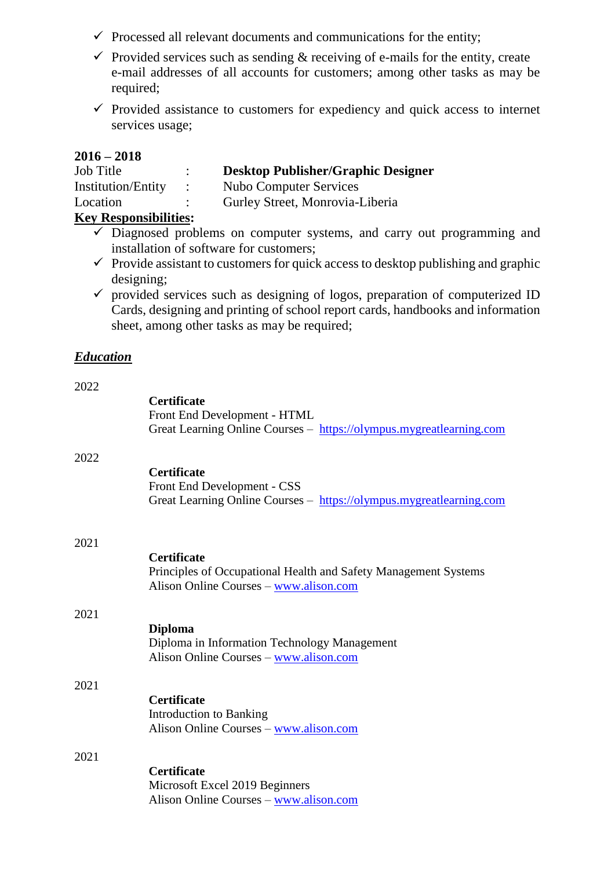- $\checkmark$  Processed all relevant documents and communications for the entity;
- $\checkmark$  Provided services such as sending  $\&$  receiving of e-mails for the entity, create e-mail addresses of all accounts for customers; among other tasks as may be required;
- $\checkmark$  Provided assistance to customers for expediency and quick access to internet services usage;

#### **2016 – 2018**

| <b>Job</b> Title             |                | <b>Desktop Publisher/Graphic Designer</b> |
|------------------------------|----------------|-------------------------------------------|
| <b>Institution/Entity</b>    | $\mathbb{R}^n$ | Nubo Computer Services                    |
| Location                     |                | Gurley Street, Monrovia-Liberia           |
| <b>Key Responsibilities:</b> |                |                                           |

- $\overline{\smash{\big)}\ }$  Diagnosed problems on computer systems, and carry out programming and installation of software for customers;
- $\checkmark$  Provide assistant to customers for quick access to desktop publishing and graphic designing;
- $\checkmark$  provided services such as designing of logos, preparation of computerized ID Cards, designing and printing of school report cards, handbooks and information sheet, among other tasks as may be required;

#### *Education*

| 2022 |                                                                                                                                 |
|------|---------------------------------------------------------------------------------------------------------------------------------|
|      | <b>Certificate</b><br>Front End Development - HTML<br>Great Learning Online Courses - https://olympus.mygreatlearning.com       |
| 2022 | <b>Certificate</b><br>Front End Development - CSS<br>Great Learning Online Courses - https://olympus.mygreatlearning.com        |
| 2021 | <b>Certificate</b><br>Principles of Occupational Health and Safety Management Systems<br>Alison Online Courses - www.alison.com |
| 2021 | <b>Diploma</b><br>Diploma in Information Technology Management<br>Alison Online Courses - www.alison.com                        |
| 2021 | <b>Certificate</b><br>Introduction to Banking<br>Alison Online Courses - www.alison.com                                         |
| 2021 | <b>Certificate</b><br>Microsoft Excel 2019 Beginners<br>Alison Online Courses - www.alison.com                                  |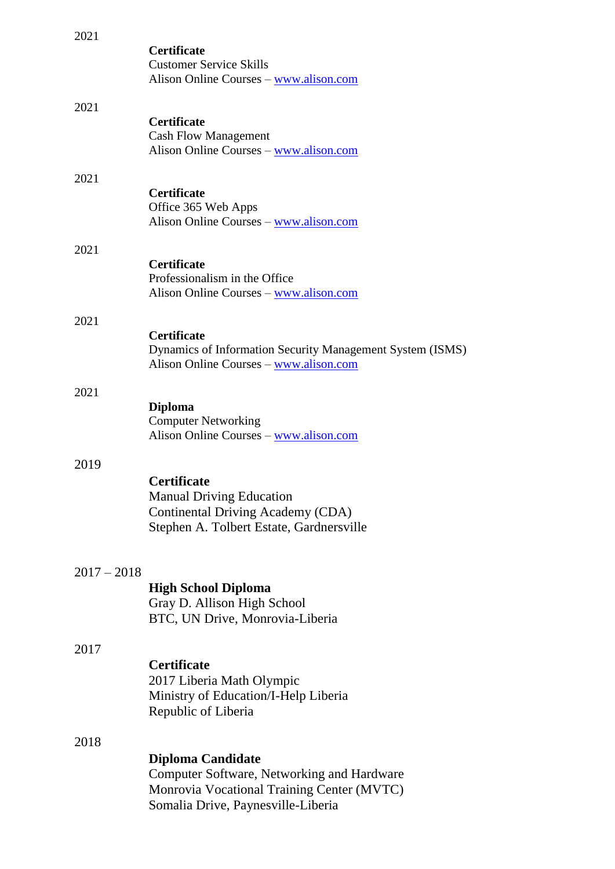| 2021          |                                                                                                                                                            |
|---------------|------------------------------------------------------------------------------------------------------------------------------------------------------------|
|               | <b>Certificate</b><br><b>Customer Service Skills</b><br>Alison Online Courses - www.alison.com                                                             |
| 2021          |                                                                                                                                                            |
|               | <b>Certificate</b><br><b>Cash Flow Management</b><br>Alison Online Courses - www.alison.com                                                                |
| 2021          |                                                                                                                                                            |
|               | <b>Certificate</b><br>Office 365 Web Apps<br>Alison Online Courses – www.alison.com                                                                        |
| 2021          |                                                                                                                                                            |
|               | <b>Certificate</b><br>Professionalism in the Office<br>Alison Online Courses - www.alison.com                                                              |
| 2021          |                                                                                                                                                            |
|               | <b>Certificate</b><br>Dynamics of Information Security Management System (ISMS)<br>Alison Online Courses - www.alison.com                                  |
| 2021          |                                                                                                                                                            |
|               | <b>Diploma</b><br><b>Computer Networking</b><br>Alison Online Courses - www.alison.com                                                                     |
| 2019          |                                                                                                                                                            |
|               | <b>Certificate</b><br><b>Manual Driving Education</b><br>Continental Driving Academy (CDA)<br>Stephen A. Tolbert Estate, Gardnersville                     |
| $2017 - 2018$ |                                                                                                                                                            |
|               | <b>High School Diploma</b><br>Gray D. Allison High School<br>BTC, UN Drive, Monrovia-Liberia                                                               |
| 2017          |                                                                                                                                                            |
|               | <b>Certificate</b><br>2017 Liberia Math Olympic<br>Ministry of Education/I-Help Liberia<br>Republic of Liberia                                             |
| 2018          |                                                                                                                                                            |
|               | <b>Diploma Candidate</b><br>Computer Software, Networking and Hardware<br>Monrovia Vocational Training Center (MVTC)<br>Somalia Drive, Paynesville-Liberia |